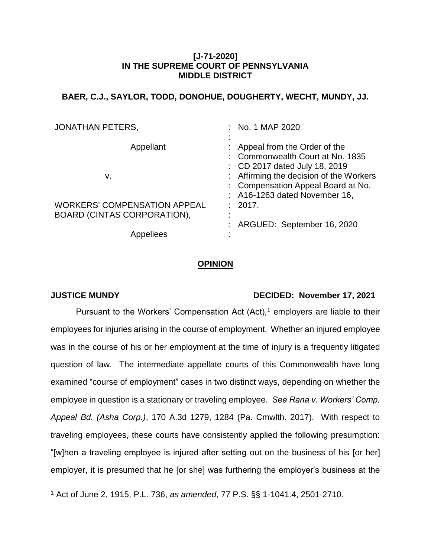## **[J-71-2020] IN THE SUPREME COURT OF PENNSYLVANIA MIDDLE DISTRICT**

# **BAER, C.J., SAYLOR, TODD, DONOHUE, DOUGHERTY, WECHT, MUNDY, JJ.**

| <b>JONATHAN PETERS,</b>                                            | No. 1 MAP 2020                                                                                                                                  |
|--------------------------------------------------------------------|-------------------------------------------------------------------------------------------------------------------------------------------------|
| Appellant                                                          | Appeal from the Order of the<br>: Commonwealth Court at No. 1835                                                                                |
| v.                                                                 | : CD 2017 dated July 18, 2019<br>: Affirming the decision of the Workers<br>: Compensation Appeal Board at No.<br>: A16-1263 dated November 16, |
| <b>WORKERS' COMPENSATION APPEAL</b><br>BOARD (CINTAS CORPORATION), | : 2017.<br>٠<br>$\blacksquare$                                                                                                                  |
| Appellees                                                          | ARGUED: September 16, 2020                                                                                                                      |

## **OPINION**

 $\overline{a}$ 

# **JUSTICE MUNDY DECIDED: November 17, 2021**

Pursuant to the Workers' Compensation Act  $(Act),<sup>1</sup>$  employers are liable to their employees for injuries arising in the course of employment. Whether an injured employee was in the course of his or her employment at the time of injury is a frequently litigated question of law. The intermediate appellate courts of this Commonwealth have long examined "course of employment" cases in two distinct ways, depending on whether the employee in question is a stationary or traveling employee. *See Rana v. Workers' Comp. Appeal Bd. (Asha Corp.)*, 170 A.3d 1279, 1284 (Pa. Cmwlth. 2017). With respect to traveling employees, these courts have consistently applied the following presumption: "[w]hen a traveling employee is injured after setting out on the business of his [or her] employer, it is presumed that he [or she] was furthering the employer's business at the

<sup>1</sup> Act of June 2, 1915, P.L. 736, *as amended*, 77 P.S. §§ 1-1041.4, 2501-2710.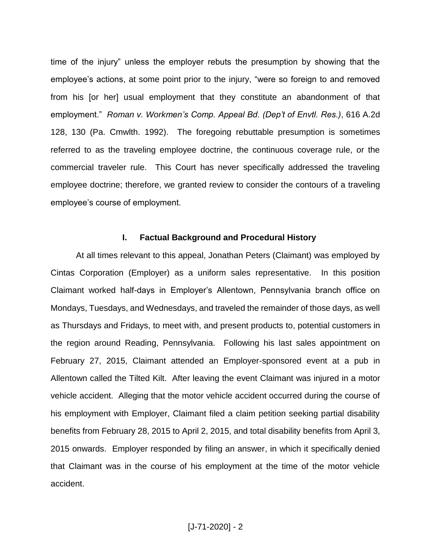time of the injury" unless the employer rebuts the presumption by showing that the employee's actions, at some point prior to the injury, "were so foreign to and removed from his [or her] usual employment that they constitute an abandonment of that employment." *Roman v. Workmen's Comp. Appeal Bd. (Dep't of Envtl. Res.)*, 616 A.2d 128, 130 (Pa. Cmwlth. 1992). The foregoing rebuttable presumption is sometimes referred to as the traveling employee doctrine, the continuous coverage rule, or the commercial traveler rule. This Court has never specifically addressed the traveling employee doctrine; therefore, we granted review to consider the contours of a traveling employee's course of employment.

## **I. Factual Background and Procedural History**

At all times relevant to this appeal, Jonathan Peters (Claimant) was employed by Cintas Corporation (Employer) as a uniform sales representative. In this position Claimant worked half-days in Employer's Allentown, Pennsylvania branch office on Mondays, Tuesdays, and Wednesdays, and traveled the remainder of those days, as well as Thursdays and Fridays, to meet with, and present products to, potential customers in the region around Reading, Pennsylvania. Following his last sales appointment on February 27, 2015, Claimant attended an Employer-sponsored event at a pub in Allentown called the Tilted Kilt. After leaving the event Claimant was injured in a motor vehicle accident. Alleging that the motor vehicle accident occurred during the course of his employment with Employer, Claimant filed a claim petition seeking partial disability benefits from February 28, 2015 to April 2, 2015, and total disability benefits from April 3, 2015 onwards. Employer responded by filing an answer, in which it specifically denied that Claimant was in the course of his employment at the time of the motor vehicle accident.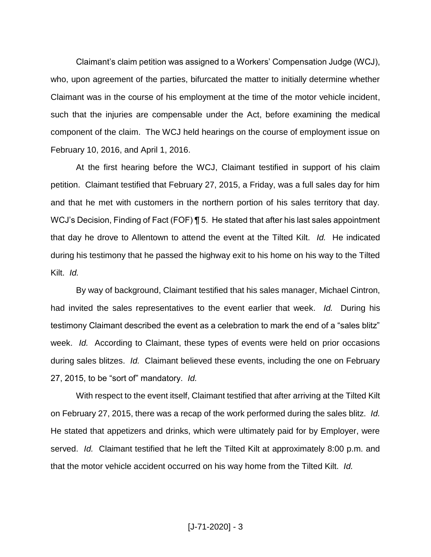Claimant's claim petition was assigned to a Workers' Compensation Judge (WCJ), who, upon agreement of the parties, bifurcated the matter to initially determine whether Claimant was in the course of his employment at the time of the motor vehicle incident, such that the injuries are compensable under the Act, before examining the medical component of the claim. The WCJ held hearings on the course of employment issue on February 10, 2016, and April 1, 2016.

At the first hearing before the WCJ, Claimant testified in support of his claim petition. Claimant testified that February 27, 2015, a Friday, was a full sales day for him and that he met with customers in the northern portion of his sales territory that day. WCJ's Decision, Finding of Fact (FOF) **[5.** He stated that after his last sales appointment that day he drove to Allentown to attend the event at the Tilted Kilt. *Id.* He indicated during his testimony that he passed the highway exit to his home on his way to the Tilted Kilt. *Id.* 

By way of background, Claimant testified that his sales manager, Michael Cintron, had invited the sales representatives to the event earlier that week. *Id.* During his testimony Claimant described the event as a celebration to mark the end of a "sales blitz" week. *Id.* According to Claimant, these types of events were held on prior occasions during sales blitzes. *Id.* Claimant believed these events, including the one on February 27, 2015, to be "sort of" mandatory. *Id.* 

With respect to the event itself, Claimant testified that after arriving at the Tilted Kilt on February 27, 2015, there was a recap of the work performed during the sales blitz. *Id.*  He stated that appetizers and drinks, which were ultimately paid for by Employer, were served. *Id.* Claimant testified that he left the Tilted Kilt at approximately 8:00 p.m. and that the motor vehicle accident occurred on his way home from the Tilted Kilt. *Id.*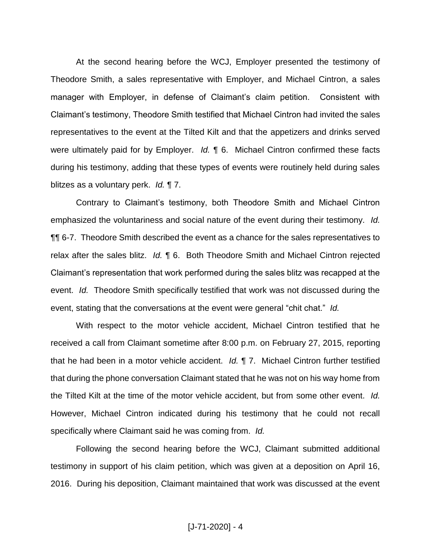At the second hearing before the WCJ, Employer presented the testimony of Theodore Smith, a sales representative with Employer, and Michael Cintron, a sales manager with Employer, in defense of Claimant's claim petition. Consistent with Claimant's testimony, Theodore Smith testified that Michael Cintron had invited the sales representatives to the event at the Tilted Kilt and that the appetizers and drinks served were ultimately paid for by Employer. *Id.* ¶ 6. Michael Cintron confirmed these facts during his testimony, adding that these types of events were routinely held during sales blitzes as a voluntary perk. *Id.* ¶ 7.

Contrary to Claimant's testimony, both Theodore Smith and Michael Cintron emphasized the voluntariness and social nature of the event during their testimony. *Id.*  ¶¶ 6-7. Theodore Smith described the event as a chance for the sales representatives to relax after the sales blitz. *Id.* ¶ 6. Both Theodore Smith and Michael Cintron rejected Claimant's representation that work performed during the sales blitz was recapped at the event. *Id.* Theodore Smith specifically testified that work was not discussed during the event, stating that the conversations at the event were general "chit chat." *Id.*

With respect to the motor vehicle accident, Michael Cintron testified that he received a call from Claimant sometime after 8:00 p.m. on February 27, 2015, reporting that he had been in a motor vehicle accident. *Id.* ¶ 7. Michael Cintron further testified that during the phone conversation Claimant stated that he was not on his way home from the Tilted Kilt at the time of the motor vehicle accident, but from some other event. *Id.*  However, Michael Cintron indicated during his testimony that he could not recall specifically where Claimant said he was coming from. *Id.* 

Following the second hearing before the WCJ, Claimant submitted additional testimony in support of his claim petition, which was given at a deposition on April 16, 2016. During his deposition, Claimant maintained that work was discussed at the event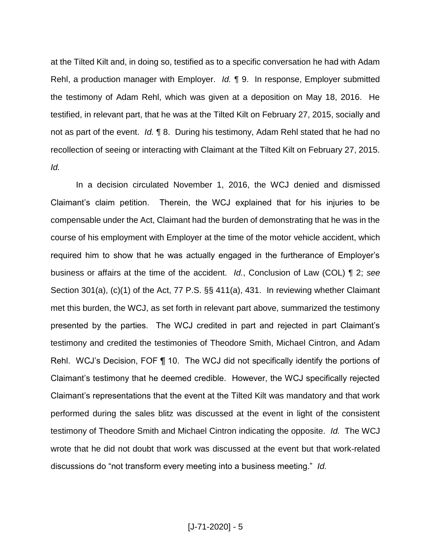at the Tilted Kilt and, in doing so, testified as to a specific conversation he had with Adam Rehl, a production manager with Employer. *Id.* ¶ 9. In response, Employer submitted the testimony of Adam Rehl, which was given at a deposition on May 18, 2016. He testified, in relevant part, that he was at the Tilted Kilt on February 27, 2015, socially and not as part of the event. *Id.* ¶ 8. During his testimony, Adam Rehl stated that he had no recollection of seeing or interacting with Claimant at the Tilted Kilt on February 27, 2015. *Id.* 

In a decision circulated November 1, 2016, the WCJ denied and dismissed Claimant's claim petition. Therein, the WCJ explained that for his injuries to be compensable under the Act, Claimant had the burden of demonstrating that he was in the course of his employment with Employer at the time of the motor vehicle accident, which required him to show that he was actually engaged in the furtherance of Employer's business or affairs at the time of the accident. *Id.*, Conclusion of Law (COL) ¶ 2; *see*  Section 301(a), (c)(1) of the Act, 77 P.S. §§ 411(a), 431. In reviewing whether Claimant met this burden, the WCJ, as set forth in relevant part above, summarized the testimony presented by the parties. The WCJ credited in part and rejected in part Claimant's testimony and credited the testimonies of Theodore Smith, Michael Cintron, and Adam Rehl. WCJ's Decision, FOF ¶ 10. The WCJ did not specifically identify the portions of Claimant's testimony that he deemed credible. However, the WCJ specifically rejected Claimant's representations that the event at the Tilted Kilt was mandatory and that work performed during the sales blitz was discussed at the event in light of the consistent testimony of Theodore Smith and Michael Cintron indicating the opposite. *Id.* The WCJ wrote that he did not doubt that work was discussed at the event but that work-related discussions do "not transform every meeting into a business meeting." *Id.*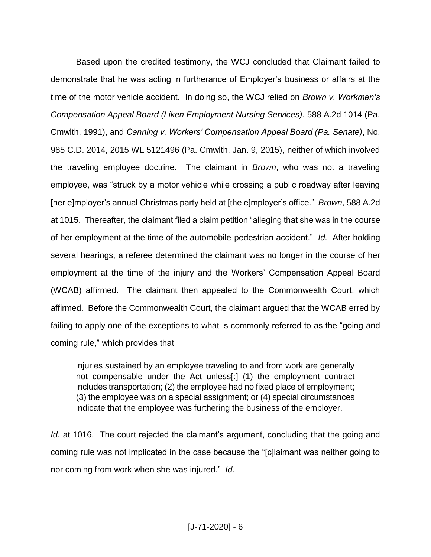Based upon the credited testimony, the WCJ concluded that Claimant failed to demonstrate that he was acting in furtherance of Employer's business or affairs at the time of the motor vehicle accident. In doing so, the WCJ relied on *Brown v. Workmen's Compensation Appeal Board (Liken Employment Nursing Services)*, 588 A.2d 1014 (Pa. Cmwlth. 1991), and *Canning v. Workers' Compensation Appeal Board (Pa. Senate)*, No. 985 C.D. 2014, 2015 WL 5121496 (Pa. Cmwlth. Jan. 9, 2015), neither of which involved the traveling employee doctrine. The claimant in *Brown*, who was not a traveling employee, was "struck by a motor vehicle while crossing a public roadway after leaving [her e]mployer's annual Christmas party held at [the e]mployer's office." *Brown*, 588 A.2d at 1015. Thereafter, the claimant filed a claim petition "alleging that she was in the course of her employment at the time of the automobile-pedestrian accident." *Id.* After holding several hearings, a referee determined the claimant was no longer in the course of her employment at the time of the injury and the Workers' Compensation Appeal Board (WCAB) affirmed. The claimant then appealed to the Commonwealth Court, which affirmed. Before the Commonwealth Court, the claimant argued that the WCAB erred by failing to apply one of the exceptions to what is commonly referred to as the "going and coming rule," which provides that

injuries sustained by an employee traveling to and from work are generally not compensable under the Act unless[:] (1) the employment contract includes transportation; (2) the employee had no fixed place of employment; (3) the employee was on a special assignment; or (4) special circumstances indicate that the employee was furthering the business of the employer.

*Id.* at 1016. The court rejected the claimant's argument, concluding that the going and coming rule was not implicated in the case because the "[c]laimant was neither going to nor coming from work when she was injured." *Id.*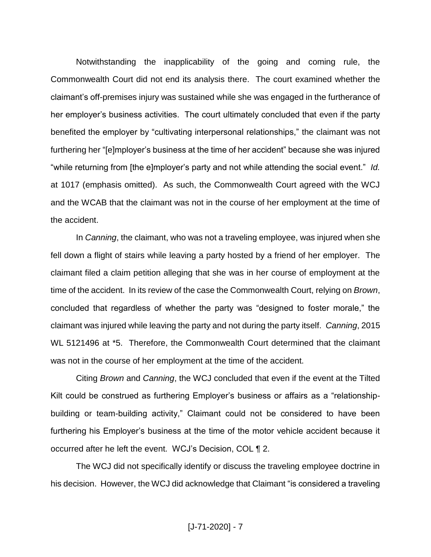Notwithstanding the inapplicability of the going and coming rule, the Commonwealth Court did not end its analysis there. The court examined whether the claimant's off-premises injury was sustained while she was engaged in the furtherance of her employer's business activities. The court ultimately concluded that even if the party benefited the employer by "cultivating interpersonal relationships," the claimant was not furthering her "[e]mployer's business at the time of her accident" because she was injured "while returning from [the e]mployer's party and not while attending the social event." *Id.*  at 1017 (emphasis omitted). As such, the Commonwealth Court agreed with the WCJ and the WCAB that the claimant was not in the course of her employment at the time of the accident.

In *Canning*, the claimant, who was not a traveling employee, was injured when she fell down a flight of stairs while leaving a party hosted by a friend of her employer. The claimant filed a claim petition alleging that she was in her course of employment at the time of the accident. In its review of the case the Commonwealth Court, relying on *Brown*, concluded that regardless of whether the party was "designed to foster morale," the claimant was injured while leaving the party and not during the party itself. *Canning*, 2015 WL 5121496 at \*5. Therefore, the Commonwealth Court determined that the claimant was not in the course of her employment at the time of the accident.

Citing *Brown* and *Canning*, the WCJ concluded that even if the event at the Tilted Kilt could be construed as furthering Employer's business or affairs as a "relationshipbuilding or team-building activity," Claimant could not be considered to have been furthering his Employer's business at the time of the motor vehicle accident because it occurred after he left the event. WCJ's Decision, COL ¶ 2.

The WCJ did not specifically identify or discuss the traveling employee doctrine in his decision. However, the WCJ did acknowledge that Claimant "is considered a traveling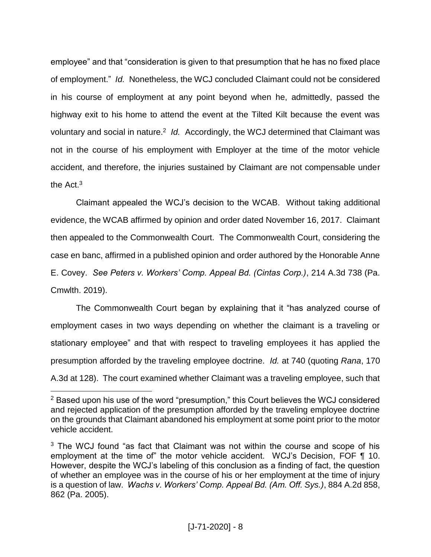employee" and that "consideration is given to that presumption that he has no fixed place of employment." *Id.* Nonetheless, the WCJ concluded Claimant could not be considered in his course of employment at any point beyond when he, admittedly, passed the highway exit to his home to attend the event at the Tilted Kilt because the event was voluntary and social in nature.<sup>2</sup> Id. Accordingly, the WCJ determined that Claimant was not in the course of his employment with Employer at the time of the motor vehicle accident, and therefore, the injuries sustained by Claimant are not compensable under the Act. $3$ 

Claimant appealed the WCJ's decision to the WCAB. Without taking additional evidence, the WCAB affirmed by opinion and order dated November 16, 2017. Claimant then appealed to the Commonwealth Court. The Commonwealth Court, considering the case en banc, affirmed in a published opinion and order authored by the Honorable Anne E. Covey. *See Peters v. Workers' Comp. Appeal Bd. (Cintas Corp.)*, 214 A.3d 738 (Pa. Cmwlth. 2019).

The Commonwealth Court began by explaining that it "has analyzed course of employment cases in two ways depending on whether the claimant is a traveling or stationary employee" and that with respect to traveling employees it has applied the presumption afforded by the traveling employee doctrine. *Id.* at 740 (quoting *Rana*, 170 A.3d at 128). The court examined whether Claimant was a traveling employee, such that

 $\overline{a}$ 

<sup>&</sup>lt;sup>2</sup> Based upon his use of the word "presumption," this Court believes the WCJ considered and rejected application of the presumption afforded by the traveling employee doctrine on the grounds that Claimant abandoned his employment at some point prior to the motor vehicle accident.

<sup>&</sup>lt;sup>3</sup> The WCJ found "as fact that Claimant was not within the course and scope of his employment at the time of" the motor vehicle accident. WCJ's Decision, FOF 110. However, despite the WCJ's labeling of this conclusion as a finding of fact, the question of whether an employee was in the course of his or her employment at the time of injury is a question of law. *Wachs v. Workers' Comp. Appeal Bd. (Am. Off. Sys.)*, 884 A.2d 858, 862 (Pa. 2005).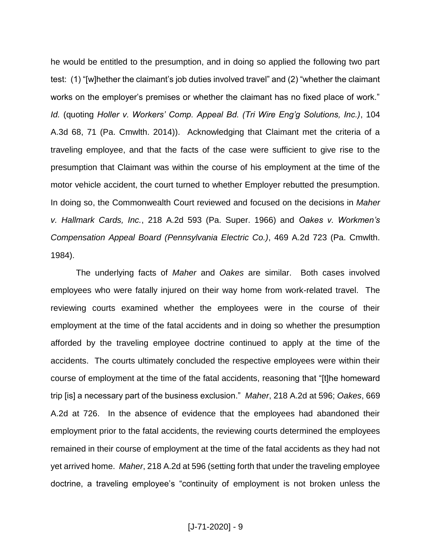he would be entitled to the presumption, and in doing so applied the following two part test: (1) "[w]hether the claimant's job duties involved travel" and (2) "whether the claimant works on the employer's premises or whether the claimant has no fixed place of work." *Id.* (quoting *Holler v. Workers' Comp. Appeal Bd. (Tri Wire Eng'g Solutions, Inc.)*, 104 A.3d 68, 71 (Pa. Cmwlth. 2014)). Acknowledging that Claimant met the criteria of a traveling employee, and that the facts of the case were sufficient to give rise to the presumption that Claimant was within the course of his employment at the time of the motor vehicle accident, the court turned to whether Employer rebutted the presumption. In doing so, the Commonwealth Court reviewed and focused on the decisions in *Maher v. Hallmark Cards, Inc.*, 218 A.2d 593 (Pa. Super. 1966) and *Oakes v. Workmen's Compensation Appeal Board (Pennsylvania Electric Co.)*, 469 A.2d 723 (Pa. Cmwlth. 1984).

The underlying facts of *Maher* and *Oakes* are similar. Both cases involved employees who were fatally injured on their way home from work-related travel. The reviewing courts examined whether the employees were in the course of their employment at the time of the fatal accidents and in doing so whether the presumption afforded by the traveling employee doctrine continued to apply at the time of the accidents. The courts ultimately concluded the respective employees were within their course of employment at the time of the fatal accidents, reasoning that "[t]he homeward trip [is] a necessary part of the business exclusion." *Maher*, 218 A.2d at 596; *Oakes*, 669 A.2d at 726. In the absence of evidence that the employees had abandoned their employment prior to the fatal accidents, the reviewing courts determined the employees remained in their course of employment at the time of the fatal accidents as they had not yet arrived home. *Maher*, 218 A.2d at 596 (setting forth that under the traveling employee doctrine, a traveling employee's "continuity of employment is not broken unless the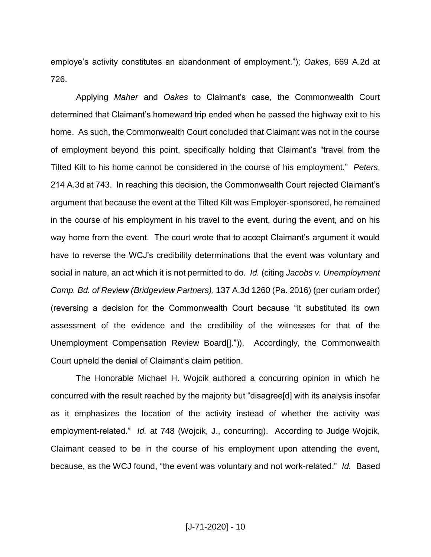employe's activity constitutes an abandonment of employment."); *Oakes*, 669 A.2d at 726.

Applying *Maher* and *Oakes* to Claimant's case, the Commonwealth Court determined that Claimant's homeward trip ended when he passed the highway exit to his home. As such, the Commonwealth Court concluded that Claimant was not in the course of employment beyond this point, specifically holding that Claimant's "travel from the Tilted Kilt to his home cannot be considered in the course of his employment." *Peters*, 214 A.3d at 743. In reaching this decision, the Commonwealth Court rejected Claimant's argument that because the event at the Tilted Kilt was Employer-sponsored, he remained in the course of his employment in his travel to the event, during the event, and on his way home from the event. The court wrote that to accept Claimant's argument it would have to reverse the WCJ's credibility determinations that the event was voluntary and social in nature, an act which it is not permitted to do. *Id.* (citing *Jacobs v. Unemployment Comp. Bd. of Review (Bridgeview Partners)*, 137 A.3d 1260 (Pa. 2016) (per curiam order) (reversing a decision for the Commonwealth Court because "it substituted its own assessment of the evidence and the credibility of the witnesses for that of the Unemployment Compensation Review Board[].")). Accordingly, the Commonwealth Court upheld the denial of Claimant's claim petition.

The Honorable Michael H. Wojcik authored a concurring opinion in which he concurred with the result reached by the majority but "disagree[d] with its analysis insofar as it emphasizes the location of the activity instead of whether the activity was employment-related." *Id.* at 748 (Wojcik, J., concurring). According to Judge Wojcik, Claimant ceased to be in the course of his employment upon attending the event, because, as the WCJ found, "the event was voluntary and not work-related." *Id.* Based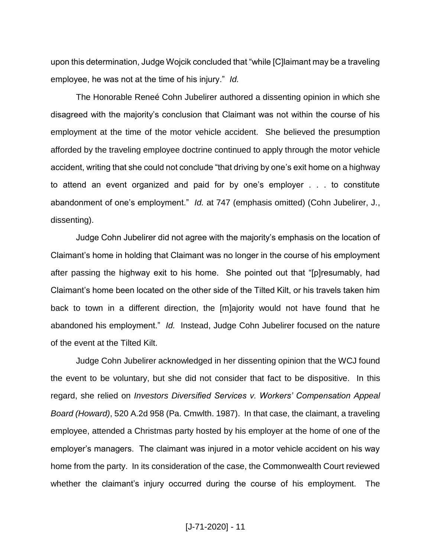upon this determination, Judge Wojcik concluded that "while [C]laimant may be a traveling employee, he was not at the time of his injury." *Id.*

The Honorable Reneé Cohn Jubelirer authored a dissenting opinion in which she disagreed with the majority's conclusion that Claimant was not within the course of his employment at the time of the motor vehicle accident. She believed the presumption afforded by the traveling employee doctrine continued to apply through the motor vehicle accident, writing that she could not conclude "that driving by one's exit home on a highway to attend an event organized and paid for by one's employer . . . to constitute abandonment of one's employment." *Id.* at 747 (emphasis omitted) (Cohn Jubelirer, J., dissenting).

Judge Cohn Jubelirer did not agree with the majority's emphasis on the location of Claimant's home in holding that Claimant was no longer in the course of his employment after passing the highway exit to his home. She pointed out that "[p]resumably, had Claimant's home been located on the other side of the Tilted Kilt, or his travels taken him back to town in a different direction, the [m]ajority would not have found that he abandoned his employment." *Id.* Instead, Judge Cohn Jubelirer focused on the nature of the event at the Tilted Kilt.

Judge Cohn Jubelirer acknowledged in her dissenting opinion that the WCJ found the event to be voluntary, but she did not consider that fact to be dispositive. In this regard, she relied on *Investors Diversified Services v. Workers' Compensation Appeal Board (Howard)*, 520 A.2d 958 (Pa. Cmwlth. 1987). In that case, the claimant, a traveling employee, attended a Christmas party hosted by his employer at the home of one of the employer's managers. The claimant was injured in a motor vehicle accident on his way home from the party. In its consideration of the case, the Commonwealth Court reviewed whether the claimant's injury occurred during the course of his employment. The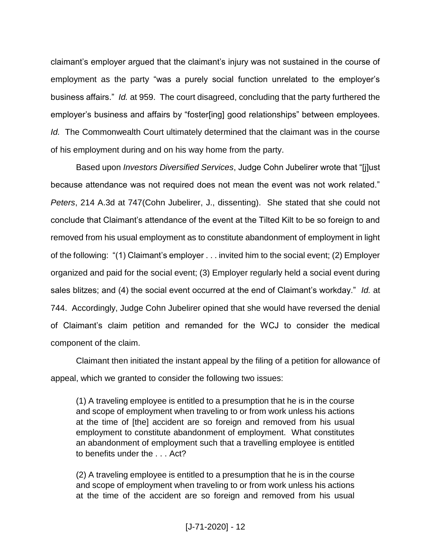claimant's employer argued that the claimant's injury was not sustained in the course of employment as the party "was a purely social function unrelated to the employer's business affairs." *Id.* at 959. The court disagreed, concluding that the party furthered the employer's business and affairs by "foster[ing] good relationships" between employees. *Id.* The Commonwealth Court ultimately determined that the claimant was in the course of his employment during and on his way home from the party.

Based upon *Investors Diversified Services*, Judge Cohn Jubelirer wrote that "[j]ust because attendance was not required does not mean the event was not work related." *Peters*, 214 A.3d at 747(Cohn Jubelirer, J., dissenting). She stated that she could not conclude that Claimant's attendance of the event at the Tilted Kilt to be so foreign to and removed from his usual employment as to constitute abandonment of employment in light of the following: "(1) Claimant's employer . . . invited him to the social event; (2) Employer organized and paid for the social event; (3) Employer regularly held a social event during sales blitzes; and (4) the social event occurred at the end of Claimant's workday." *Id.* at 744. Accordingly, Judge Cohn Jubelirer opined that she would have reversed the denial of Claimant's claim petition and remanded for the WCJ to consider the medical component of the claim.

Claimant then initiated the instant appeal by the filing of a petition for allowance of appeal, which we granted to consider the following two issues:

(1) A traveling employee is entitled to a presumption that he is in the course and scope of employment when traveling to or from work unless his actions at the time of [the] accident are so foreign and removed from his usual employment to constitute abandonment of employment. What constitutes an abandonment of employment such that a travelling employee is entitled to benefits under the . . . Act?

(2) A traveling employee is entitled to a presumption that he is in the course and scope of employment when traveling to or from work unless his actions at the time of the accident are so foreign and removed from his usual

[J-71-2020] - 12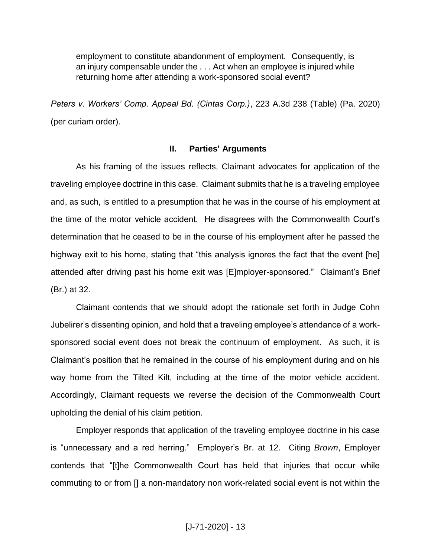employment to constitute abandonment of employment. Consequently, is an injury compensable under the . . . Act when an employee is injured while returning home after attending a work-sponsored social event?

*Peters v. Workers' Comp. Appeal Bd. (Cintas Corp.)*, 223 A.3d 238 (Table) (Pa. 2020) (per curiam order).

#### **II. Parties' Arguments**

As his framing of the issues reflects, Claimant advocates for application of the traveling employee doctrine in this case. Claimant submits that he is a traveling employee and, as such, is entitled to a presumption that he was in the course of his employment at the time of the motor vehicle accident. He disagrees with the Commonwealth Court's determination that he ceased to be in the course of his employment after he passed the highway exit to his home, stating that "this analysis ignores the fact that the event [he] attended after driving past his home exit was [E]mployer-sponsored." Claimant's Brief (Br.) at 32.

Claimant contends that we should adopt the rationale set forth in Judge Cohn Jubelirer's dissenting opinion, and hold that a traveling employee's attendance of a worksponsored social event does not break the continuum of employment. As such, it is Claimant's position that he remained in the course of his employment during and on his way home from the Tilted Kilt, including at the time of the motor vehicle accident. Accordingly, Claimant requests we reverse the decision of the Commonwealth Court upholding the denial of his claim petition.

Employer responds that application of the traveling employee doctrine in his case is "unnecessary and a red herring." Employer's Br. at 12. Citing *Brown*, Employer contends that "[t]he Commonwealth Court has held that injuries that occur while commuting to or from [] a non-mandatory non work-related social event is not within the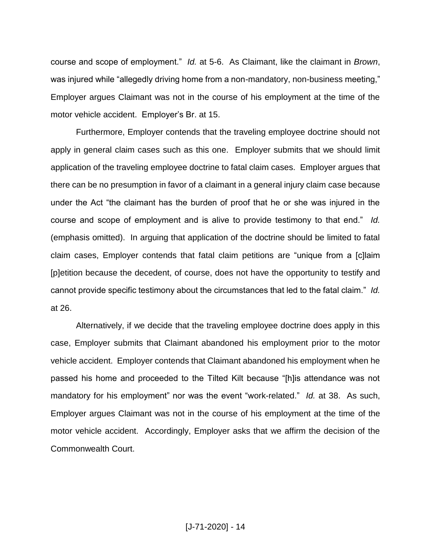course and scope of employment." *Id.* at 5-6. As Claimant, like the claimant in *Brown*, was injured while "allegedly driving home from a non-mandatory, non-business meeting," Employer argues Claimant was not in the course of his employment at the time of the motor vehicle accident. Employer's Br. at 15.

Furthermore, Employer contends that the traveling employee doctrine should not apply in general claim cases such as this one. Employer submits that we should limit application of the traveling employee doctrine to fatal claim cases. Employer argues that there can be no presumption in favor of a claimant in a general injury claim case because under the Act "the claimant has the burden of proof that he or she was injured in the course and scope of employment and is alive to provide testimony to that end." *Id.*  (emphasis omitted). In arguing that application of the doctrine should be limited to fatal claim cases, Employer contends that fatal claim petitions are "unique from a [c]laim [p]etition because the decedent, of course, does not have the opportunity to testify and cannot provide specific testimony about the circumstances that led to the fatal claim." *Id.* at 26.

Alternatively, if we decide that the traveling employee doctrine does apply in this case, Employer submits that Claimant abandoned his employment prior to the motor vehicle accident. Employer contends that Claimant abandoned his employment when he passed his home and proceeded to the Tilted Kilt because "[h]is attendance was not mandatory for his employment" nor was the event "work-related." *Id.* at 38. As such, Employer argues Claimant was not in the course of his employment at the time of the motor vehicle accident. Accordingly, Employer asks that we affirm the decision of the Commonwealth Court.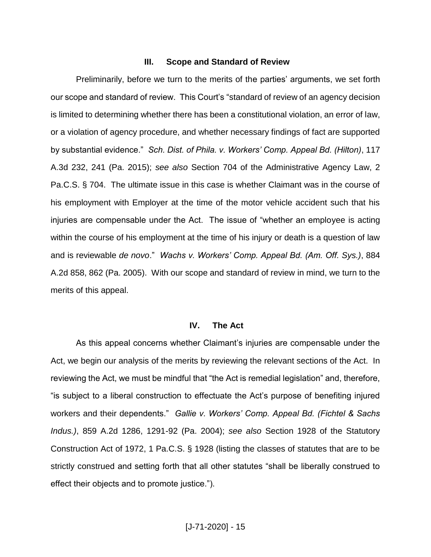## **III. Scope and Standard of Review**

Preliminarily, before we turn to the merits of the parties' arguments, we set forth our scope and standard of review. This Court's "standard of review of an agency decision is limited to determining whether there has been a constitutional violation, an error of law, or a violation of agency procedure, and whether necessary findings of fact are supported by substantial evidence." *Sch. Dist. of Phila. v. Workers' Comp. Appeal Bd. (Hilton)*, 117 A.3d 232, 241 (Pa. 2015); *see also* Section 704 of the Administrative Agency Law, 2 Pa.C.S. § 704. The ultimate issue in this case is whether Claimant was in the course of his employment with Employer at the time of the motor vehicle accident such that his injuries are compensable under the Act. The issue of "whether an employee is acting within the course of his employment at the time of his injury or death is a question of law and is reviewable *de novo*." *Wachs v. Workers' Comp. Appeal Bd. (Am. Off. Sys.)*, 884 A.2d 858, 862 (Pa. 2005). With our scope and standard of review in mind, we turn to the merits of this appeal.

#### **IV. The Act**

As this appeal concerns whether Claimant's injuries are compensable under the Act, we begin our analysis of the merits by reviewing the relevant sections of the Act. In reviewing the Act, we must be mindful that "the Act is remedial legislation" and, therefore, "is subject to a liberal construction to effectuate the Act's purpose of benefiting injured workers and their dependents." *Gallie v. Workers' Comp. Appeal Bd. (Fichtel & Sachs Indus.)*, 859 A.2d 1286, 1291-92 (Pa. 2004); *see also* Section 1928 of the Statutory Construction Act of 1972, 1 Pa.C.S. § 1928 (listing the classes of statutes that are to be strictly construed and setting forth that all other statutes "shall be liberally construed to effect their objects and to promote justice.").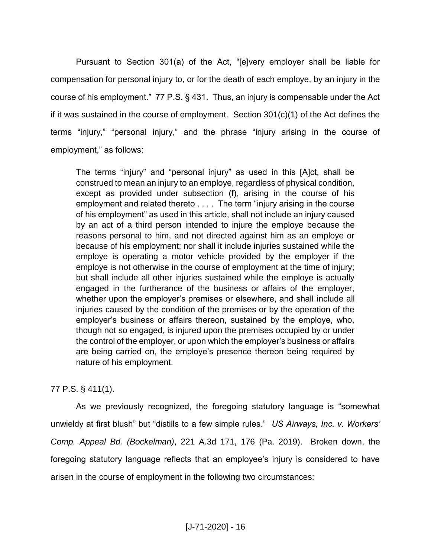Pursuant to Section 301(a) of the Act, "[e]very employer shall be liable for compensation for personal injury to, or for the death of each employe, by an injury in the course of his employment." 77 P.S. § 431. Thus, an injury is compensable under the Act if it was sustained in the course of employment. Section 301(c)(1) of the Act defines the terms "injury," "personal injury," and the phrase "injury arising in the course of employment," as follows:

The terms "injury" and "personal injury" as used in this [A]ct, shall be construed to mean an injury to an employe, regardless of physical condition, except as provided under subsection (f), arising in the course of his employment and related thereto . . . . The term "injury arising in the course of his employment" as used in this article, shall not include an injury caused by an act of a third person intended to injure the employe because the reasons personal to him, and not directed against him as an employe or because of his employment; nor shall it include injuries sustained while the employe is operating a motor vehicle provided by the employer if the employe is not otherwise in the course of employment at the time of injury; but shall include all other injuries sustained while the employe is actually engaged in the furtherance of the business or affairs of the employer, whether upon the employer's premises or elsewhere, and shall include all injuries caused by the condition of the premises or by the operation of the employer's business or affairs thereon, sustained by the employe, who, though not so engaged, is injured upon the premises occupied by or under the control of the employer, or upon which the employer's business or affairs are being carried on, the employe's presence thereon being required by nature of his employment.

# 77 P.S. § 411(1).

As we previously recognized, the foregoing statutory language is "somewhat unwieldy at first blush" but "distills to a few simple rules." *US Airways, Inc. v. Workers' Comp. Appeal Bd. (Bockelman)*, 221 A.3d 171, 176 (Pa. 2019). Broken down, the foregoing statutory language reflects that an employee's injury is considered to have arisen in the course of employment in the following two circumstances: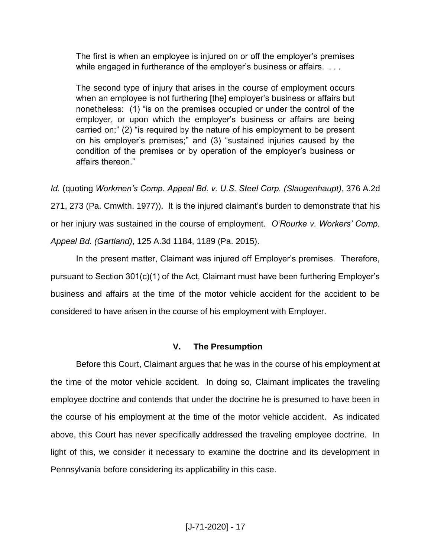The first is when an employee is injured on or off the employer's premises while engaged in furtherance of the employer's business or affairs. . . .

The second type of injury that arises in the course of employment occurs when an employee is not furthering [the] employer's business or affairs but nonetheless: (1) "is on the premises occupied or under the control of the employer, or upon which the employer's business or affairs are being carried on;" (2) "is required by the nature of his employment to be present on his employer's premises;" and (3) "sustained injuries caused by the condition of the premises or by operation of the employer's business or affairs thereon."

*Id.* (quoting *Workmen's Comp. Appeal Bd. v. U.S. Steel Corp. (Slaugenhaupt)*, 376 A.2d 271, 273 (Pa. Cmwlth. 1977)). It is the injured claimant's burden to demonstrate that his or her injury was sustained in the course of employment. *O'Rourke v. Workers' Comp. Appeal Bd. (Gartland)*, 125 A.3d 1184, 1189 (Pa. 2015).

In the present matter, Claimant was injured off Employer's premises. Therefore, pursuant to Section 301(c)(1) of the Act, Claimant must have been furthering Employer's business and affairs at the time of the motor vehicle accident for the accident to be considered to have arisen in the course of his employment with Employer.

## **V. The Presumption**

Before this Court, Claimant argues that he was in the course of his employment at the time of the motor vehicle accident. In doing so, Claimant implicates the traveling employee doctrine and contends that under the doctrine he is presumed to have been in the course of his employment at the time of the motor vehicle accident. As indicated above, this Court has never specifically addressed the traveling employee doctrine. In light of this, we consider it necessary to examine the doctrine and its development in Pennsylvania before considering its applicability in this case.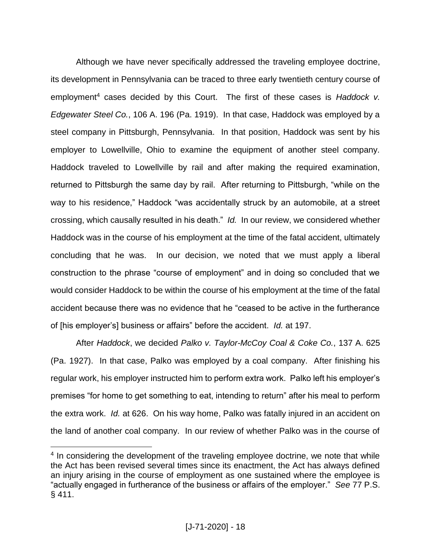Although we have never specifically addressed the traveling employee doctrine, its development in Pennsylvania can be traced to three early twentieth century course of employment<sup>4</sup> cases decided by this Court. The first of these cases is *Haddock v. Edgewater Steel Co.*, 106 A. 196 (Pa. 1919). In that case, Haddock was employed by a steel company in Pittsburgh, Pennsylvania. In that position, Haddock was sent by his employer to Lowellville, Ohio to examine the equipment of another steel company. Haddock traveled to Lowellville by rail and after making the required examination, returned to Pittsburgh the same day by rail. After returning to Pittsburgh, "while on the way to his residence," Haddock "was accidentally struck by an automobile, at a street crossing, which causally resulted in his death." *Id.* In our review, we considered whether Haddock was in the course of his employment at the time of the fatal accident, ultimately concluding that he was. In our decision, we noted that we must apply a liberal construction to the phrase "course of employment" and in doing so concluded that we would consider Haddock to be within the course of his employment at the time of the fatal accident because there was no evidence that he "ceased to be active in the furtherance of [his employer's] business or affairs" before the accident. *Id.* at 197.

After *Haddock*, we decided *Palko v. Taylor-McCoy Coal & Coke Co.*, 137 A. 625 (Pa. 1927). In that case, Palko was employed by a coal company. After finishing his regular work, his employer instructed him to perform extra work. Palko left his employer's premises "for home to get something to eat, intending to return" after his meal to perform the extra work. *Id.* at 626. On his way home, Palko was fatally injured in an accident on the land of another coal company. In our review of whether Palko was in the course of

 $\overline{a}$ 

<sup>&</sup>lt;sup>4</sup> In considering the development of the traveling employee doctrine, we note that while the Act has been revised several times since its enactment, the Act has always defined an injury arising in the course of employment as one sustained where the employee is "actually engaged in furtherance of the business or affairs of the employer." *See* 77 P.S. § 411.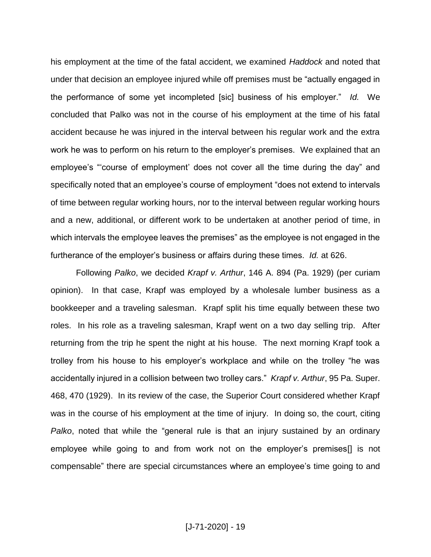his employment at the time of the fatal accident, we examined *Haddock* and noted that under that decision an employee injured while off premises must be "actually engaged in the performance of some yet incompleted [sic] business of his employer." *Id.* We concluded that Palko was not in the course of his employment at the time of his fatal accident because he was injured in the interval between his regular work and the extra work he was to perform on his return to the employer's premises. We explained that an employee's "'course of employment' does not cover all the time during the day" and specifically noted that an employee's course of employment "does not extend to intervals of time between regular working hours, nor to the interval between regular working hours and a new, additional, or different work to be undertaken at another period of time, in which intervals the employee leaves the premises" as the employee is not engaged in the furtherance of the employer's business or affairs during these times. *Id.* at 626.

Following *Palko*, we decided *Krapf v. Arthur*, 146 A. 894 (Pa. 1929) (per curiam opinion). In that case, Krapf was employed by a wholesale lumber business as a bookkeeper and a traveling salesman. Krapf split his time equally between these two roles. In his role as a traveling salesman, Krapf went on a two day selling trip. After returning from the trip he spent the night at his house. The next morning Krapf took a trolley from his house to his employer's workplace and while on the trolley "he was accidentally injured in a collision between two trolley cars." *Krapf v. Arthur*, 95 Pa. Super. 468, 470 (1929). In its review of the case, the Superior Court considered whether Krapf was in the course of his employment at the time of injury. In doing so, the court, citing *Palko*, noted that while the "general rule is that an injury sustained by an ordinary employee while going to and from work not on the employer's premises[] is not compensable" there are special circumstances where an employee's time going to and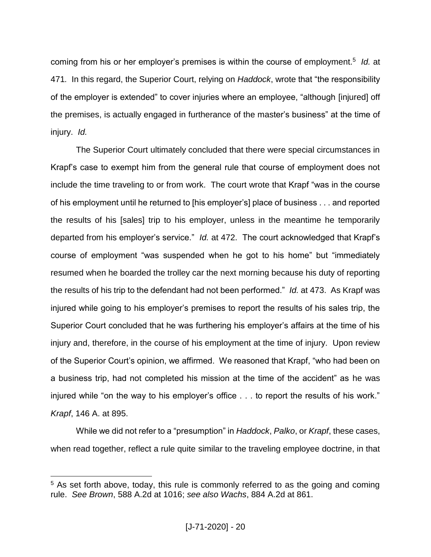coming from his or her employer's premises is within the course of employment.<sup>5</sup> *Id.* at 471*.* In this regard, the Superior Court, relying on *Haddock*, wrote that "the responsibility of the employer is extended" to cover injuries where an employee, "although [injured] off the premises, is actually engaged in furtherance of the master's business" at the time of injury. *Id.*

The Superior Court ultimately concluded that there were special circumstances in Krapf's case to exempt him from the general rule that course of employment does not include the time traveling to or from work. The court wrote that Krapf "was in the course of his employment until he returned to [his employer's] place of business . . . and reported the results of his [sales] trip to his employer, unless in the meantime he temporarily departed from his employer's service." *Id.* at 472. The court acknowledged that Krapf's course of employment "was suspended when he got to his home" but "immediately resumed when he boarded the trolley car the next morning because his duty of reporting the results of his trip to the defendant had not been performed." *Id.* at 473. As Krapf was injured while going to his employer's premises to report the results of his sales trip, the Superior Court concluded that he was furthering his employer's affairs at the time of his injury and, therefore, in the course of his employment at the time of injury. Upon review of the Superior Court's opinion, we affirmed. We reasoned that Krapf, "who had been on a business trip, had not completed his mission at the time of the accident" as he was injured while "on the way to his employer's office . . . to report the results of his work." *Krapf*, 146 A. at 895.

While we did not refer to a "presumption" in *Haddock*, *Palko*, or *Krapf*, these cases, when read together, reflect a rule quite similar to the traveling employee doctrine, in that

 $\overline{a}$ 

<sup>&</sup>lt;sup>5</sup> As set forth above, today, this rule is commonly referred to as the going and coming rule. *See Brown*, 588 A.2d at 1016; *see also Wachs*, 884 A.2d at 861.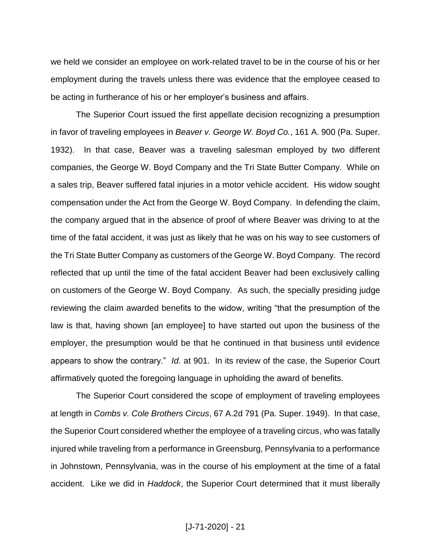we held we consider an employee on work-related travel to be in the course of his or her employment during the travels unless there was evidence that the employee ceased to be acting in furtherance of his or her employer's business and affairs.

The Superior Court issued the first appellate decision recognizing a presumption in favor of traveling employees in *Beaver v. George W. Boyd Co.*, 161 A. 900 (Pa. Super. 1932). In that case, Beaver was a traveling salesman employed by two different companies, the George W. Boyd Company and the Tri State Butter Company. While on a sales trip, Beaver suffered fatal injuries in a motor vehicle accident. His widow sought compensation under the Act from the George W. Boyd Company. In defending the claim, the company argued that in the absence of proof of where Beaver was driving to at the time of the fatal accident, it was just as likely that he was on his way to see customers of the Tri State Butter Company as customers of the George W. Boyd Company. The record reflected that up until the time of the fatal accident Beaver had been exclusively calling on customers of the George W. Boyd Company. As such, the specially presiding judge reviewing the claim awarded benefits to the widow, writing "that the presumption of the law is that, having shown [an employee] to have started out upon the business of the employer, the presumption would be that he continued in that business until evidence appears to show the contrary." *Id.* at 901. In its review of the case, the Superior Court affirmatively quoted the foregoing language in upholding the award of benefits.

The Superior Court considered the scope of employment of traveling employees at length in *Combs v. Cole Brothers Circus*, 67 A.2d 791 (Pa. Super. 1949). In that case, the Superior Court considered whether the employee of a traveling circus, who was fatally injured while traveling from a performance in Greensburg, Pennsylvania to a performance in Johnstown, Pennsylvania, was in the course of his employment at the time of a fatal accident. Like we did in *Haddock*, the Superior Court determined that it must liberally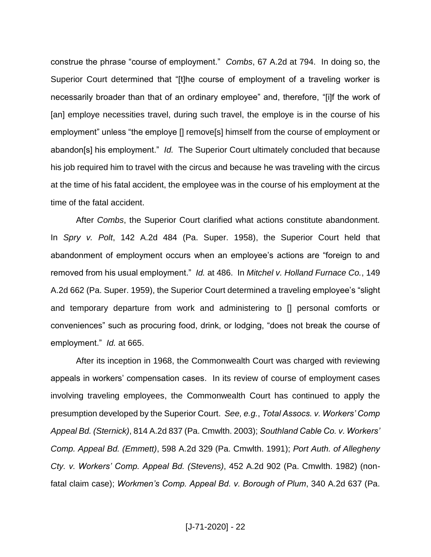construe the phrase "course of employment." *Combs*, 67 A.2d at 794. In doing so, the Superior Court determined that "[t]he course of employment of a traveling worker is necessarily broader than that of an ordinary employee" and, therefore, "[i]f the work of [an] employe necessities travel, during such travel, the employe is in the course of his employment" unless "the employe [] remove[s] himself from the course of employment or abandon[s] his employment." *Id.* The Superior Court ultimately concluded that because his job required him to travel with the circus and because he was traveling with the circus at the time of his fatal accident, the employee was in the course of his employment at the time of the fatal accident.

After *Combs*, the Superior Court clarified what actions constitute abandonment. In *Spry v. Polt*, 142 A.2d 484 (Pa. Super. 1958), the Superior Court held that abandonment of employment occurs when an employee's actions are "foreign to and removed from his usual employment." *Id.* at 486. In *Mitchel v. Holland Furnace Co.*, 149 A.2d 662 (Pa. Super. 1959), the Superior Court determined a traveling employee's "slight and temporary departure from work and administering to [] personal comforts or conveniences" such as procuring food, drink, or lodging, "does not break the course of employment." *Id.* at 665.

After its inception in 1968, the Commonwealth Court was charged with reviewing appeals in workers' compensation cases. In its review of course of employment cases involving traveling employees, the Commonwealth Court has continued to apply the presumption developed by the Superior Court. *See, e.g.*, *Total Assocs. v. Workers' Comp Appeal Bd. (Sternick)*, 814 A.2d 837 (Pa. Cmwlth. 2003); *Southland Cable Co. v. Workers' Comp. Appeal Bd. (Emmett)*, 598 A.2d 329 (Pa. Cmwlth. 1991); *Port Auth. of Allegheny Cty. v. Workers' Comp. Appeal Bd. (Stevens)*, 452 A.2d 902 (Pa. Cmwlth. 1982) (nonfatal claim case); *Workmen's Comp. Appeal Bd. v. Borough of Plum*, 340 A.2d 637 (Pa.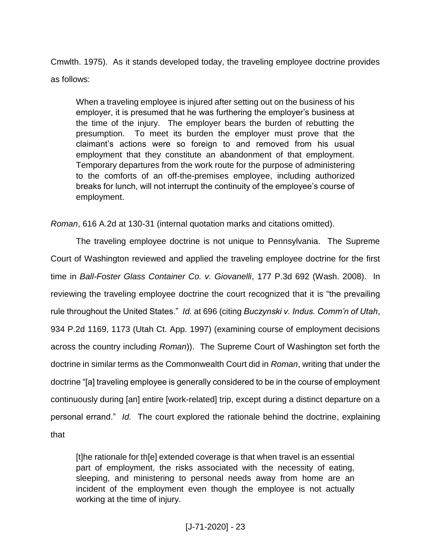Cmwlth. 1975). As it stands developed today, the traveling employee doctrine provides as follows:

When a traveling employee is injured after setting out on the business of his employer, it is presumed that he was furthering the employer's business at the time of the injury. The employer bears the burden of rebutting the presumption. To meet its burden the employer must prove that the claimant's actions were so foreign to and removed from his usual employment that they constitute an abandonment of that employment. Temporary departures from the work route for the purpose of administering to the comforts of an off-the-premises employee, including authorized breaks for lunch, will not interrupt the continuity of the employee's course of employment.

*Roman*, 616 A.2d at 130-31 (internal quotation marks and citations omitted).

The traveling employee doctrine is not unique to Pennsylvania. The Supreme Court of Washington reviewed and applied the traveling employee doctrine for the first time in *Ball-Foster Glass Container Co. v. Giovanelli*, 177 P.3d 692 (Wash. 2008). In reviewing the traveling employee doctrine the court recognized that it is "the prevailing rule throughout the United States." *Id.* at 696 (citing *Buczynski v. Indus. Comm'n of Utah*, 934 P.2d 1169, 1173 (Utah Ct. App. 1997) (examining course of employment decisions across the country including *Roman*)). The Supreme Court of Washington set forth the doctrine in similar terms as the Commonwealth Court did in *Roman*, writing that under the doctrine "[a] traveling employee is generally considered to be in the course of employment continuously during [an] entire [work-related] trip, except during a distinct departure on a personal errand." *Id.* The court explored the rationale behind the doctrine, explaining that

[t]he rationale for th[e] extended coverage is that when travel is an essential part of employment, the risks associated with the necessity of eating, sleeping, and ministering to personal needs away from home are an incident of the employment even though the employee is not actually working at the time of injury.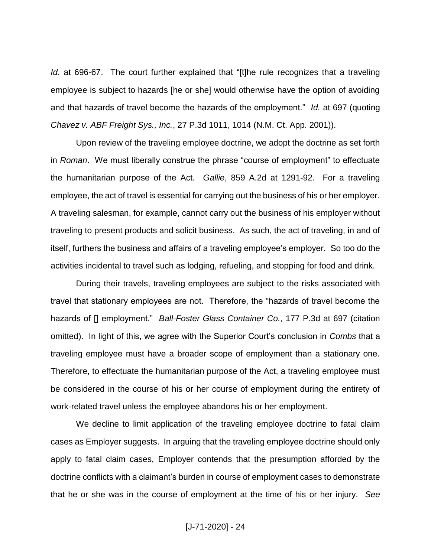*Id.* at 696-67. The court further explained that "[t]he rule recognizes that a traveling employee is subject to hazards [he or she] would otherwise have the option of avoiding and that hazards of travel become the hazards of the employment." *Id.* at 697 (quoting *Chavez v. ABF Freight Sys., Inc.*, 27 P.3d 1011, 1014 (N.M. Ct. App. 2001)).

Upon review of the traveling employee doctrine, we adopt the doctrine as set forth in *Roman*. We must liberally construe the phrase "course of employment" to effectuate the humanitarian purpose of the Act. *Gallie*, 859 A.2d at 1291-92. For a traveling employee, the act of travel is essential for carrying out the business of his or her employer. A traveling salesman, for example, cannot carry out the business of his employer without traveling to present products and solicit business. As such, the act of traveling, in and of itself, furthers the business and affairs of a traveling employee's employer. So too do the activities incidental to travel such as lodging, refueling, and stopping for food and drink.

During their travels, traveling employees are subject to the risks associated with travel that stationary employees are not. Therefore, the "hazards of travel become the hazards of [] employment." *Ball-Foster Glass Container Co.*, 177 P.3d at 697 (citation omitted). In light of this, we agree with the Superior Court's conclusion in *Combs* that a traveling employee must have a broader scope of employment than a stationary one. Therefore, to effectuate the humanitarian purpose of the Act, a traveling employee must be considered in the course of his or her course of employment during the entirety of work-related travel unless the employee abandons his or her employment.

We decline to limit application of the traveling employee doctrine to fatal claim cases as Employer suggests. In arguing that the traveling employee doctrine should only apply to fatal claim cases, Employer contends that the presumption afforded by the doctrine conflicts with a claimant's burden in course of employment cases to demonstrate that he or she was in the course of employment at the time of his or her injury. *See*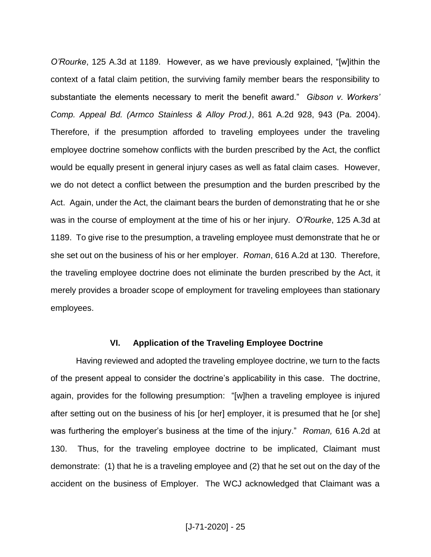*O'Rourke*, 125 A.3d at 1189. However, as we have previously explained, "[w]ithin the context of a fatal claim petition, the surviving family member bears the responsibility to substantiate the elements necessary to merit the benefit award." *Gibson v. Workers' Comp. Appeal Bd. (Armco Stainless & Alloy Prod.)*, 861 A.2d 928, 943 (Pa. 2004). Therefore, if the presumption afforded to traveling employees under the traveling employee doctrine somehow conflicts with the burden prescribed by the Act, the conflict would be equally present in general injury cases as well as fatal claim cases. However, we do not detect a conflict between the presumption and the burden prescribed by the Act. Again, under the Act, the claimant bears the burden of demonstrating that he or she was in the course of employment at the time of his or her injury. *O'Rourke*, 125 A.3d at 1189. To give rise to the presumption, a traveling employee must demonstrate that he or she set out on the business of his or her employer. *Roman*, 616 A.2d at 130. Therefore, the traveling employee doctrine does not eliminate the burden prescribed by the Act, it merely provides a broader scope of employment for traveling employees than stationary employees.

#### **VI. Application of the Traveling Employee Doctrine**

Having reviewed and adopted the traveling employee doctrine, we turn to the facts of the present appeal to consider the doctrine's applicability in this case. The doctrine, again, provides for the following presumption: "[w]hen a traveling employee is injured after setting out on the business of his [or her] employer, it is presumed that he [or she] was furthering the employer's business at the time of the injury." *Roman,* 616 A.2d at 130. Thus, for the traveling employee doctrine to be implicated, Claimant must demonstrate: (1) that he is a traveling employee and (2) that he set out on the day of the accident on the business of Employer. The WCJ acknowledged that Claimant was a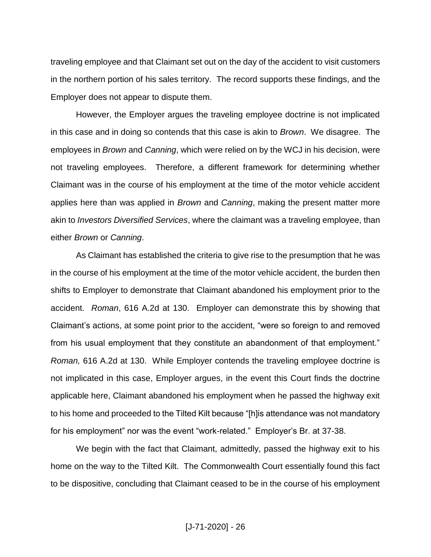traveling employee and that Claimant set out on the day of the accident to visit customers in the northern portion of his sales territory. The record supports these findings, and the Employer does not appear to dispute them.

However, the Employer argues the traveling employee doctrine is not implicated in this case and in doing so contends that this case is akin to *Brown*. We disagree. The employees in *Brown* and *Canning*, which were relied on by the WCJ in his decision, were not traveling employees. Therefore, a different framework for determining whether Claimant was in the course of his employment at the time of the motor vehicle accident applies here than was applied in *Brown* and *Canning*, making the present matter more akin to *Investors Diversified Services*, where the claimant was a traveling employee, than either *Brown* or *Canning*.

As Claimant has established the criteria to give rise to the presumption that he was in the course of his employment at the time of the motor vehicle accident, the burden then shifts to Employer to demonstrate that Claimant abandoned his employment prior to the accident. *Roman*, 616 A.2d at 130. Employer can demonstrate this by showing that Claimant's actions, at some point prior to the accident, "were so foreign to and removed from his usual employment that they constitute an abandonment of that employment." *Roman,* 616 A.2d at 130. While Employer contends the traveling employee doctrine is not implicated in this case, Employer argues, in the event this Court finds the doctrine applicable here, Claimant abandoned his employment when he passed the highway exit to his home and proceeded to the Tilted Kilt because "[h]is attendance was not mandatory for his employment" nor was the event "work-related." Employer's Br. at 37-38.

We begin with the fact that Claimant, admittedly, passed the highway exit to his home on the way to the Tilted Kilt. The Commonwealth Court essentially found this fact to be dispositive, concluding that Claimant ceased to be in the course of his employment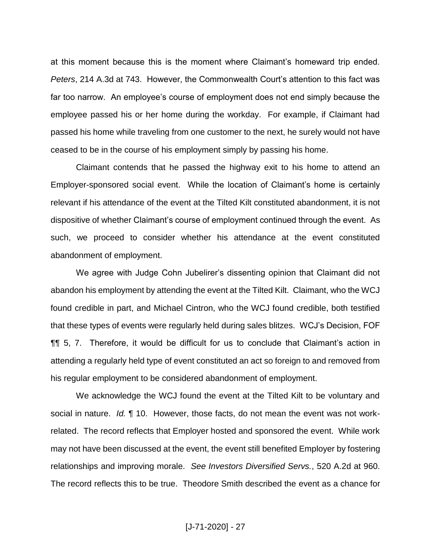at this moment because this is the moment where Claimant's homeward trip ended. *Peters*, 214 A.3d at 743. However, the Commonwealth Court's attention to this fact was far too narrow. An employee's course of employment does not end simply because the employee passed his or her home during the workday. For example, if Claimant had passed his home while traveling from one customer to the next, he surely would not have ceased to be in the course of his employment simply by passing his home.

Claimant contends that he passed the highway exit to his home to attend an Employer-sponsored social event. While the location of Claimant's home is certainly relevant if his attendance of the event at the Tilted Kilt constituted abandonment, it is not dispositive of whether Claimant's course of employment continued through the event. As such, we proceed to consider whether his attendance at the event constituted abandonment of employment.

We agree with Judge Cohn Jubelirer's dissenting opinion that Claimant did not abandon his employment by attending the event at the Tilted Kilt. Claimant, who the WCJ found credible in part, and Michael Cintron, who the WCJ found credible, both testified that these types of events were regularly held during sales blitzes. WCJ's Decision, FOF ¶¶ 5, 7. Therefore, it would be difficult for us to conclude that Claimant's action in attending a regularly held type of event constituted an act so foreign to and removed from his regular employment to be considered abandonment of employment.

We acknowledge the WCJ found the event at the Tilted Kilt to be voluntary and social in nature. *Id.* ¶ 10. However, those facts, do not mean the event was not workrelated. The record reflects that Employer hosted and sponsored the event. While work may not have been discussed at the event, the event still benefited Employer by fostering relationships and improving morale. *See Investors Diversified Servs.*, 520 A.2d at 960. The record reflects this to be true. Theodore Smith described the event as a chance for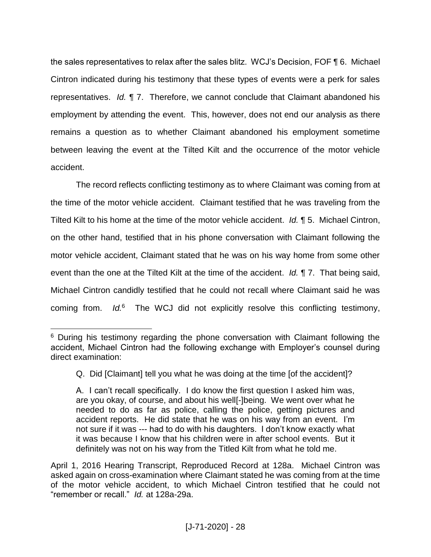the sales representatives to relax after the sales blitz. WCJ's Decision, FOF ¶ 6. Michael Cintron indicated during his testimony that these types of events were a perk for sales representatives. *Id.* ¶ 7. Therefore, we cannot conclude that Claimant abandoned his employment by attending the event. This, however, does not end our analysis as there remains a question as to whether Claimant abandoned his employment sometime between leaving the event at the Tilted Kilt and the occurrence of the motor vehicle accident.

The record reflects conflicting testimony as to where Claimant was coming from at the time of the motor vehicle accident. Claimant testified that he was traveling from the Tilted Kilt to his home at the time of the motor vehicle accident. *Id.* ¶ 5. Michael Cintron, on the other hand, testified that in his phone conversation with Claimant following the motor vehicle accident, Claimant stated that he was on his way home from some other event than the one at the Tilted Kilt at the time of the accident. *Id.* ¶ 7. That being said, Michael Cintron candidly testified that he could not recall where Claimant said he was coming from. *Id.*<sup>6</sup> The WCJ did not explicitly resolve this conflicting testimony,

 $\overline{a}$ 

<sup>&</sup>lt;sup>6</sup> During his testimony regarding the phone conversation with Claimant following the accident, Michael Cintron had the following exchange with Employer's counsel during direct examination:

Q. Did [Claimant] tell you what he was doing at the time [of the accident]?

A. I can't recall specifically. I do know the first question I asked him was, are you okay, of course, and about his well[-]being. We went over what he needed to do as far as police, calling the police, getting pictures and accident reports. He did state that he was on his way from an event. I'm not sure if it was --- had to do with his daughters. I don't know exactly what it was because I know that his children were in after school events. But it definitely was not on his way from the Titled Kilt from what he told me.

April 1, 2016 Hearing Transcript, Reproduced Record at 128a. Michael Cintron was asked again on cross-examination where Claimant stated he was coming from at the time of the motor vehicle accident, to which Michael Cintron testified that he could not "remember or recall." *Id.* at 128a-29a.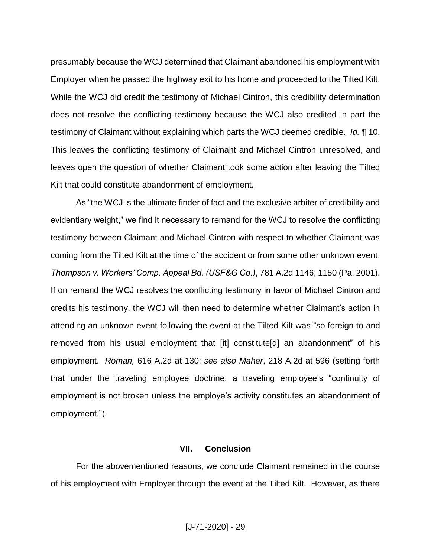presumably because the WCJ determined that Claimant abandoned his employment with Employer when he passed the highway exit to his home and proceeded to the Tilted Kilt. While the WCJ did credit the testimony of Michael Cintron, this credibility determination does not resolve the conflicting testimony because the WCJ also credited in part the testimony of Claimant without explaining which parts the WCJ deemed credible. *Id.* ¶ 10. This leaves the conflicting testimony of Claimant and Michael Cintron unresolved, and leaves open the question of whether Claimant took some action after leaving the Tilted Kilt that could constitute abandonment of employment.

As "the WCJ is the ultimate finder of fact and the exclusive arbiter of credibility and evidentiary weight," we find it necessary to remand for the WCJ to resolve the conflicting testimony between Claimant and Michael Cintron with respect to whether Claimant was coming from the Tilted Kilt at the time of the accident or from some other unknown event. *Thompson v. Workers' Comp. Appeal Bd. (USF&G Co.)*, 781 A.2d 1146, 1150 (Pa. 2001). If on remand the WCJ resolves the conflicting testimony in favor of Michael Cintron and credits his testimony, the WCJ will then need to determine whether Claimant's action in attending an unknown event following the event at the Tilted Kilt was "so foreign to and removed from his usual employment that [it] constitute[d] an abandonment" of his employment. *Roman,* 616 A.2d at 130; *see also Maher*, 218 A.2d at 596 (setting forth that under the traveling employee doctrine, a traveling employee's "continuity of employment is not broken unless the employe's activity constitutes an abandonment of employment.").

#### **VII. Conclusion**

For the abovementioned reasons, we conclude Claimant remained in the course of his employment with Employer through the event at the Tilted Kilt. However, as there